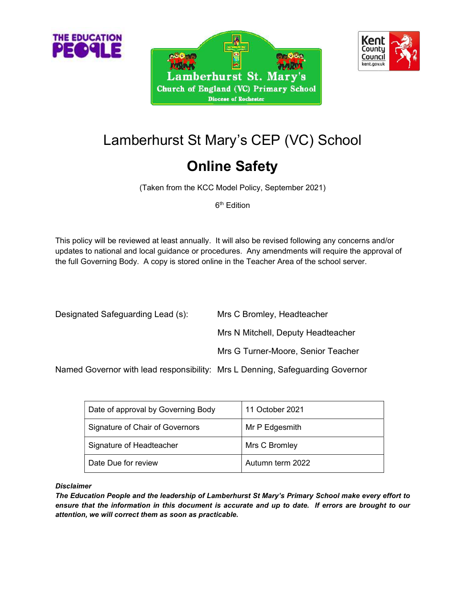



# Lamberhurst St Mary's CEP (VC) School

## Online Safety

(Taken from the KCC Model Policy, September 2021)

6<sup>th</sup> Edition

This policy will be reviewed at least annually. It will also be revised following any concerns and/or updates to national and local guidance or procedures. Any amendments will require the approval of the full Governing Body. A copy is stored online in the Teacher Area of the school server.

| Designated Safeguarding Lead (s):                                          | Mrs C Bromley, Headteacher         |
|----------------------------------------------------------------------------|------------------------------------|
|                                                                            | Mrs N Mitchell, Deputy Headteacher |
|                                                                            | Mrs G Turner-Moore, Senior Teacher |
| Nemed Coverser with lead representation Mrs L Denning Cefequerding Coverse |                                    |

Named Governor with lead responsibility: Mrs L Denning, Safeguarding Governor

| Date of approval by Governing Body | 11 October 2021  |
|------------------------------------|------------------|
| Signature of Chair of Governors    | Mr P Edgesmith   |
| Signature of Headteacher           | Mrs C Bromley    |
| Date Due for review                | Autumn term 2022 |

#### Disclaimer

The Education People and the leadership of Lamberhurst St Mary's Primary School make every effort to ensure that the information in this document is accurate and up to date. If errors are brought to our attention, we will correct them as soon as practicable.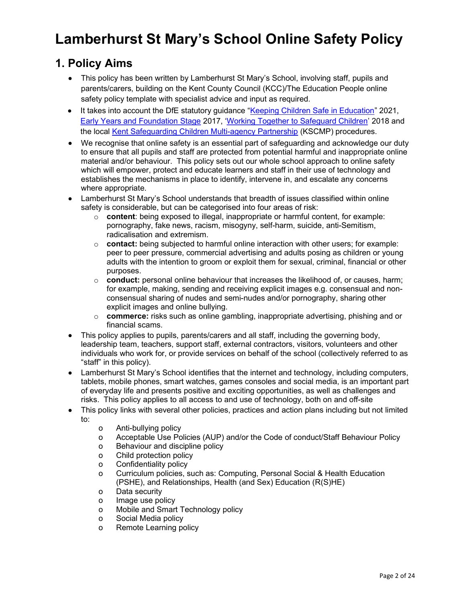## Lamberhurst St Mary's School Online Safety Policy

## 1. Policy Aims

- This policy has been written by Lamberhurst St Mary's School, involving staff, pupils and parents/carers, building on the Kent County Council (KCC)/The Education People online safety policy template with specialist advice and input as required.
- It takes into account the DfE statutory guidance "Keeping Children Safe in Education" 2021, Early Years and Foundation Stage 2017, 'Working Together to Safeguard Children' 2018 and the local Kent Safeguarding Children Multi-agency Partnership (KSCMP) procedures.
- We recognise that online safety is an essential part of safeguarding and acknowledge our duty to ensure that all pupils and staff are protected from potential harmful and inappropriate online material and/or behaviour. This policy sets out our whole school approach to online safety which will empower, protect and educate learners and staff in their use of technology and establishes the mechanisms in place to identify, intervene in, and escalate any concerns where appropriate.
- Lamberhurst St Mary's School understands that breadth of issues classified within online safety is considerable, but can be categorised into four areas of risk:
	- $\circ$  content: being exposed to illegal, inappropriate or harmful content, for example: pornography, fake news, racism, misogyny, self-harm, suicide, anti-Semitism, radicalisation and extremism.
	- $\circ$  contact: being subjected to harmful online interaction with other users; for example: peer to peer pressure, commercial advertising and adults posing as children or young adults with the intention to groom or exploit them for sexual, criminal, financial or other purposes.
	- $\circ$  conduct: personal online behaviour that increases the likelihood of, or causes, harm; for example, making, sending and receiving explicit images e.g. consensual and nonconsensual sharing of nudes and semi-nudes and/or pornography, sharing other explicit images and online bullying.
	- $\circ$  commerce: risks such as online gambling, inappropriate advertising, phishing and or financial scams.
- This policy applies to pupils, parents/carers and all staff, including the governing body, leadership team, teachers, support staff, external contractors, visitors, volunteers and other individuals who work for, or provide services on behalf of the school (collectively referred to as "staff" in this policy).
- Lamberhurst St Mary's School identifies that the internet and technology, including computers, tablets, mobile phones, smart watches, games consoles and social media, is an important part of everyday life and presents positive and exciting opportunities, as well as challenges and risks. This policy applies to all access to and use of technology, both on and off-site
- This policy links with several other policies, practices and action plans including but not limited to:
	- o Anti-bullying policy
	- o Acceptable Use Policies (AUP) and/or the Code of conduct/Staff Behaviour Policy
	- o Behaviour and discipline policy
	- o Child protection policy
	- o Confidentiality policy
	- o Curriculum policies, such as: Computing, Personal Social & Health Education (PSHE), and Relationships, Health (and Sex) Education (R(S)HE)
	- o Data security
	- o Image use policy
	- o Mobile and Smart Technology policy
	- o Social Media policy
	- o Remote Learning policy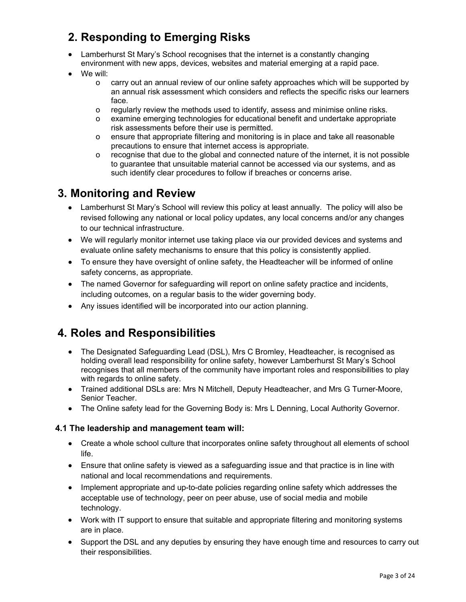## 2. Responding to Emerging Risks

- Lamberhurst St Mary's School recognises that the internet is a constantly changing environment with new apps, devices, websites and material emerging at a rapid pace.
- We will:
	- o carry out an annual review of our online safety approaches which will be supported by an annual risk assessment which considers and reflects the specific risks our learners face.
	- o regularly review the methods used to identify, assess and minimise online risks.
	- o examine emerging technologies for educational benefit and undertake appropriate risk assessments before their use is permitted.
	- o ensure that appropriate filtering and monitoring is in place and take all reasonable precautions to ensure that internet access is appropriate.
	- o recognise that due to the global and connected nature of the internet, it is not possible to guarantee that unsuitable material cannot be accessed via our systems, and as such identify clear procedures to follow if breaches or concerns arise.

## 3. Monitoring and Review

- Lamberhurst St Mary's School will review this policy at least annually. The policy will also be revised following any national or local policy updates, any local concerns and/or any changes to our technical infrastructure.
- We will regularly monitor internet use taking place via our provided devices and systems and evaluate online safety mechanisms to ensure that this policy is consistently applied.
- To ensure they have oversight of online safety, the Headteacher will be informed of online safety concerns, as appropriate.
- The named Governor for safeguarding will report on online safety practice and incidents, including outcomes, on a regular basis to the wider governing body.
- Any issues identified will be incorporated into our action planning.

## 4. Roles and Responsibilities

- The Designated Safeguarding Lead (DSL), Mrs C Bromley, Headteacher, is recognised as holding overall lead responsibility for online safety, however Lamberhurst St Mary's School recognises that all members of the community have important roles and responsibilities to play with regards to online safety.
- Trained additional DSLs are: Mrs N Mitchell, Deputy Headteacher, and Mrs G Turner-Moore, Senior Teacher.
- The Online safety lead for the Governing Body is: Mrs L Denning, Local Authority Governor.

#### 4.1 The leadership and management team will:

- Create a whole school culture that incorporates online safety throughout all elements of school life.
- Ensure that online safety is viewed as a safeguarding issue and that practice is in line with national and local recommendations and requirements.
- Implement appropriate and up-to-date policies regarding online safety which addresses the acceptable use of technology, peer on peer abuse, use of social media and mobile technology.
- Work with IT support to ensure that suitable and appropriate filtering and monitoring systems are in place.
- Support the DSL and any deputies by ensuring they have enough time and resources to carry out their responsibilities.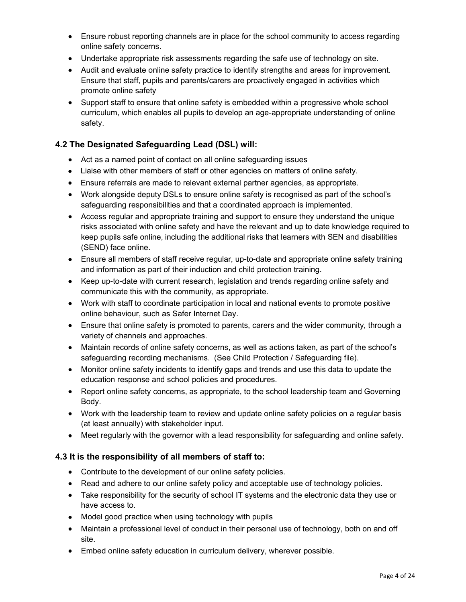- Ensure robust reporting channels are in place for the school community to access regarding online safety concerns.
- Undertake appropriate risk assessments regarding the safe use of technology on site.
- Audit and evaluate online safety practice to identify strengths and areas for improvement. Ensure that staff, pupils and parents/carers are proactively engaged in activities which promote online safety
- Support staff to ensure that online safety is embedded within a progressive whole school curriculum, which enables all pupils to develop an age-appropriate understanding of online safety.

#### 4.2 The Designated Safeguarding Lead (DSL) will:

- Act as a named point of contact on all online safeguarding issues
- Liaise with other members of staff or other agencies on matters of online safety.
- Ensure referrals are made to relevant external partner agencies, as appropriate.
- Work alongside deputy DSLs to ensure online safety is recognised as part of the school's safeguarding responsibilities and that a coordinated approach is implemented.
- Access regular and appropriate training and support to ensure they understand the unique risks associated with online safety and have the relevant and up to date knowledge required to keep pupils safe online, including the additional risks that learners with SEN and disabilities (SEND) face online.
- Ensure all members of staff receive regular, up-to-date and appropriate online safety training and information as part of their induction and child protection training.
- Keep up-to-date with current research, legislation and trends regarding online safety and communicate this with the community, as appropriate.
- Work with staff to coordinate participation in local and national events to promote positive online behaviour, such as Safer Internet Day.
- Ensure that online safety is promoted to parents, carers and the wider community, through a variety of channels and approaches.
- Maintain records of online safety concerns, as well as actions taken, as part of the school's safeguarding recording mechanisms. (See Child Protection / Safeguarding file).
- Monitor online safety incidents to identify gaps and trends and use this data to update the education response and school policies and procedures.
- Report online safety concerns, as appropriate, to the school leadership team and Governing Body.
- Work with the leadership team to review and update online safety policies on a regular basis (at least annually) with stakeholder input.
- Meet regularly with the governor with a lead responsibility for safeguarding and online safety.

#### 4.3 It is the responsibility of all members of staff to:

- Contribute to the development of our online safety policies.
- Read and adhere to our online safety policy and acceptable use of technology policies.
- Take responsibility for the security of school IT systems and the electronic data they use or have access to.
- Model good practice when using technology with pupils
- Maintain a professional level of conduct in their personal use of technology, both on and off site.
- Embed online safety education in curriculum delivery, wherever possible.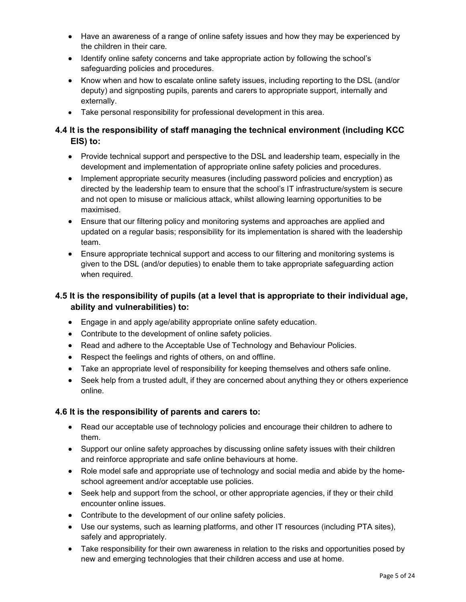- Have an awareness of a range of online safety issues and how they may be experienced by the children in their care.
- Identify online safety concerns and take appropriate action by following the school's safeguarding policies and procedures.
- Know when and how to escalate online safety issues, including reporting to the DSL (and/or deputy) and signposting pupils, parents and carers to appropriate support, internally and externally.
- Take personal responsibility for professional development in this area.

#### 4.4 It is the responsibility of staff managing the technical environment (including KCC EIS) to:

- Provide technical support and perspective to the DSL and leadership team, especially in the development and implementation of appropriate online safety policies and procedures.
- Implement appropriate security measures (including password policies and encryption) as directed by the leadership team to ensure that the school's IT infrastructure/system is secure and not open to misuse or malicious attack, whilst allowing learning opportunities to be maximised.
- Ensure that our filtering policy and monitoring systems and approaches are applied and updated on a regular basis; responsibility for its implementation is shared with the leadership team.
- Ensure appropriate technical support and access to our filtering and monitoring systems is given to the DSL (and/or deputies) to enable them to take appropriate safeguarding action when required.

#### 4.5 It is the responsibility of pupils (at a level that is appropriate to their individual age, ability and vulnerabilities) to:

- Engage in and apply age/ability appropriate online safety education.
- Contribute to the development of online safety policies.
- Read and adhere to the Acceptable Use of Technology and Behaviour Policies.
- Respect the feelings and rights of others, on and offline.
- Take an appropriate level of responsibility for keeping themselves and others safe online.
- Seek help from a trusted adult, if they are concerned about anything they or others experience online.

#### 4.6 It is the responsibility of parents and carers to:

- Read our acceptable use of technology policies and encourage their children to adhere to them.
- Support our online safety approaches by discussing online safety issues with their children and reinforce appropriate and safe online behaviours at home.
- Role model safe and appropriate use of technology and social media and abide by the homeschool agreement and/or acceptable use policies.
- Seek help and support from the school, or other appropriate agencies, if they or their child encounter online issues.
- Contribute to the development of our online safety policies.
- Use our systems, such as learning platforms, and other IT resources (including PTA sites), safely and appropriately.
- Take responsibility for their own awareness in relation to the risks and opportunities posed by new and emerging technologies that their children access and use at home.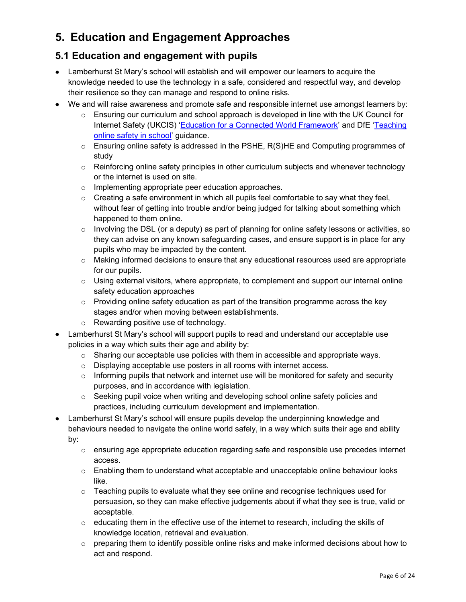## 5. Education and Engagement Approaches

## 5.1 Education and engagement with pupils

- Lamberhurst St Mary's school will establish and will empower our learners to acquire the knowledge needed to use the technology in a safe, considered and respectful way, and develop their resilience so they can manage and respond to online risks.
- We and will raise awareness and promote safe and responsible internet use amongst learners by:
	- $\circ$  Ensuring our curriculum and school approach is developed in line with the UK Council for Internet Safety (UKCIS) 'Education for a Connected World Framework' and DfE 'Teaching online safety in school' guidance.
	- o Ensuring online safety is addressed in the PSHE, R(S)HE and Computing programmes of study
	- $\circ$  Reinforcing online safety principles in other curriculum subjects and whenever technology or the internet is used on site.
	- o Implementing appropriate peer education approaches.
	- $\circ$  Creating a safe environment in which all pupils feel comfortable to say what they feel, without fear of getting into trouble and/or being judged for talking about something which happened to them online.
	- o Involving the DSL (or a deputy) as part of planning for online safety lessons or activities, so they can advise on any known safeguarding cases, and ensure support is in place for any pupils who may be impacted by the content.
	- $\circ$  Making informed decisions to ensure that any educational resources used are appropriate for our pupils.
	- $\circ$  Using external visitors, where appropriate, to complement and support our internal online safety education approaches
	- $\circ$  Providing online safety education as part of the transition programme across the key stages and/or when moving between establishments.
	- o Rewarding positive use of technology.
- Lamberhurst St Mary's school will support pupils to read and understand our acceptable use policies in a way which suits their age and ability by:
	- $\circ$  Sharing our acceptable use policies with them in accessible and appropriate ways.
	- o Displaying acceptable use posters in all rooms with internet access.
	- o Informing pupils that network and internet use will be monitored for safety and security purposes, and in accordance with legislation.
	- $\circ$  Seeking pupil voice when writing and developing school online safety policies and practices, including curriculum development and implementation.
- Lamberhurst St Mary's school will ensure pupils develop the underpinning knowledge and behaviours needed to navigate the online world safely, in a way which suits their age and ability by:
	- $\circ$  ensuring age appropriate education regarding safe and responsible use precedes internet access.
	- o Enabling them to understand what acceptable and unacceptable online behaviour looks like.
	- $\circ$  Teaching pupils to evaluate what they see online and recognise techniques used for persuasion, so they can make effective judgements about if what they see is true, valid or acceptable.
	- o educating them in the effective use of the internet to research, including the skills of knowledge location, retrieval and evaluation.
	- $\circ$  preparing them to identify possible online risks and make informed decisions about how to act and respond.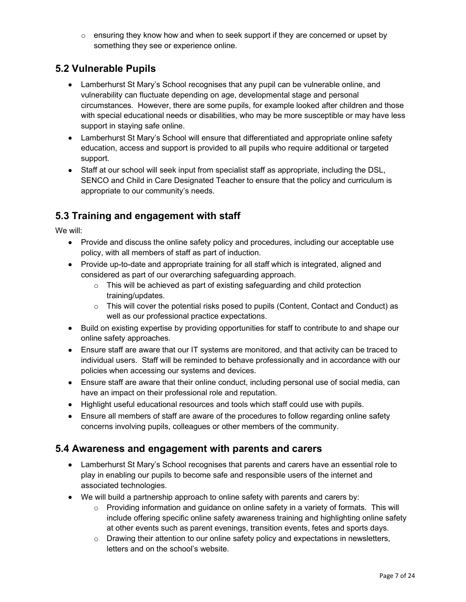$\circ$  ensuring they know how and when to seek support if they are concerned or upset by something they see or experience online.

## 5.2 Vulnerable Pupils

- Lamberhurst St Mary's School recognises that any pupil can be vulnerable online, and vulnerability can fluctuate depending on age, developmental stage and personal circumstances. However, there are some pupils, for example looked after children and those with special educational needs or disabilities, who may be more susceptible or may have less support in staying safe online.
- Lamberhurst St Mary's School will ensure that differentiated and appropriate online safety education, access and support is provided to all pupils who require additional or targeted support.
- Staff at our school will seek input from specialist staff as appropriate, including the DSL, SENCO and Child in Care Designated Teacher to ensure that the policy and curriculum is appropriate to our community's needs.

## 5.3 Training and engagement with staff

We will:

- Provide and discuss the online safety policy and procedures, including our acceptable use policy, with all members of staff as part of induction.
- Provide up-to-date and appropriate training for all staff which is integrated, aligned and considered as part of our overarching safeguarding approach.
	- $\circ$  This will be achieved as part of existing safeguarding and child protection training/updates.
	- $\circ$  This will cover the potential risks posed to pupils (Content, Contact and Conduct) as well as our professional practice expectations.
- Build on existing expertise by providing opportunities for staff to contribute to and shape our online safety approaches.
- Ensure staff are aware that our IT systems are monitored, and that activity can be traced to individual users. Staff will be reminded to behave professionally and in accordance with our policies when accessing our systems and devices.
- Ensure staff are aware that their online conduct, including personal use of social media, can have an impact on their professional role and reputation.
- Highlight useful educational resources and tools which staff could use with pupils.
- Ensure all members of staff are aware of the procedures to follow regarding online safety concerns involving pupils, colleagues or other members of the community.

#### 5.4 Awareness and engagement with parents and carers

- Lamberhurst St Mary's School recognises that parents and carers have an essential role to play in enabling our pupils to become safe and responsible users of the internet and associated technologies.
- We will build a partnership approach to online safety with parents and carers by:
	- $\circ$  Providing information and quidance on online safety in a variety of formats. This will include offering specific online safety awareness training and highlighting online safety at other events such as parent evenings, transition events, fetes and sports days.
	- o Drawing their attention to our online safety policy and expectations in newsletters, letters and on the school's website.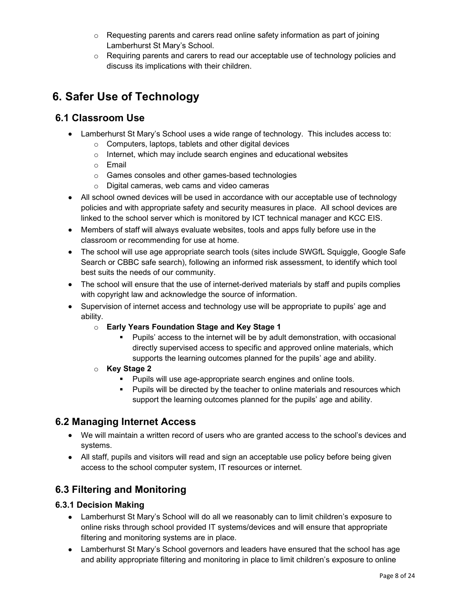- $\circ$  Requesting parents and carers read online safety information as part of joining Lamberhurst St Mary's School.
- $\circ$  Requiring parents and carers to read our acceptable use of technology policies and discuss its implications with their children.

## 6. Safer Use of Technology

## 6.1 Classroom Use

- Lamberhurst St Mary's School uses a wide range of technology. This includes access to:
	- o Computers, laptops, tablets and other digital devices
	- o Internet, which may include search engines and educational websites
	- o Email
	- o Games consoles and other games-based technologies
	- o Digital cameras, web cams and video cameras
- All school owned devices will be used in accordance with our acceptable use of technology policies and with appropriate safety and security measures in place. All school devices are linked to the school server which is monitored by ICT technical manager and KCC EIS.
- Members of staff will always evaluate websites, tools and apps fully before use in the classroom or recommending for use at home.
- The school will use age appropriate search tools (sites include SWGfL Squiggle, Google Safe Search or CBBC safe search), following an informed risk assessment, to identify which tool best suits the needs of our community.
- The school will ensure that the use of internet-derived materials by staff and pupils complies with copyright law and acknowledge the source of information.
- Supervision of internet access and technology use will be appropriate to pupils' age and ability.
	- o Early Years Foundation Stage and Key Stage 1
		- Pupils' access to the internet will be by adult demonstration, with occasional directly supervised access to specific and approved online materials, which supports the learning outcomes planned for the pupils' age and ability.
	- o Key Stage 2
		- **Pupils will use age-appropriate search engines and online tools.**
		- **Pupils will be directed by the teacher to online materials and resources which** support the learning outcomes planned for the pupils' age and ability.

## 6.2 Managing Internet Access

- We will maintain a written record of users who are granted access to the school's devices and systems.
- All staff, pupils and visitors will read and sign an acceptable use policy before being given access to the school computer system, IT resources or internet.

## 6.3 Filtering and Monitoring

#### 6.3.1 Decision Making

- Lamberhurst St Mary's School will do all we reasonably can to limit children's exposure to online risks through school provided IT systems/devices and will ensure that appropriate filtering and monitoring systems are in place.
- Lamberhurst St Mary's School governors and leaders have ensured that the school has age and ability appropriate filtering and monitoring in place to limit children's exposure to online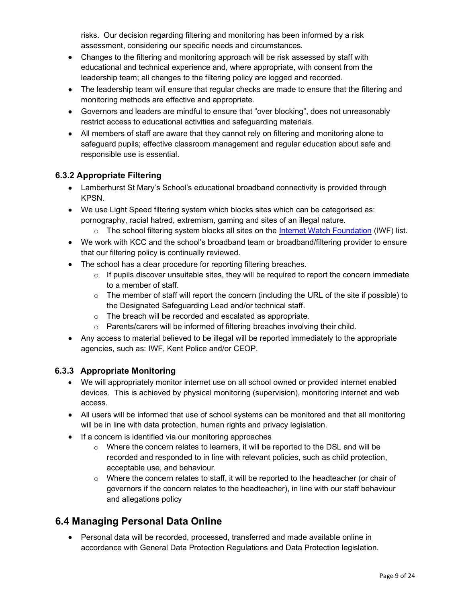risks. Our decision regarding filtering and monitoring has been informed by a risk assessment, considering our specific needs and circumstances.

- Changes to the filtering and monitoring approach will be risk assessed by staff with educational and technical experience and, where appropriate, with consent from the leadership team; all changes to the filtering policy are logged and recorded.
- The leadership team will ensure that regular checks are made to ensure that the filtering and monitoring methods are effective and appropriate.
- Governors and leaders are mindful to ensure that "over blocking", does not unreasonably restrict access to educational activities and safeguarding materials.
- All members of staff are aware that they cannot rely on filtering and monitoring alone to safeguard pupils; effective classroom management and regular education about safe and responsible use is essential.

#### 6.3.2 Appropriate Filtering

- Lamberhurst St Mary's School's educational broadband connectivity is provided through KPSN.
- We use Light Speed filtering system which blocks sites which can be categorised as: pornography, racial hatred, extremism, gaming and sites of an illegal nature.
	- $\circ$  The school filtering system blocks all sites on the Internet Watch Foundation (IWF) list.
- We work with KCC and the school's broadband team or broadband/filtering provider to ensure that our filtering policy is continually reviewed.
- The school has a clear procedure for reporting filtering breaches.
	- $\circ$  If pupils discover unsuitable sites, they will be required to report the concern immediate to a member of staff.
	- $\circ$  The member of staff will report the concern (including the URL of the site if possible) to the Designated Safeguarding Lead and/or technical staff.
	- o The breach will be recorded and escalated as appropriate.
	- o Parents/carers will be informed of filtering breaches involving their child.
- Any access to material believed to be illegal will be reported immediately to the appropriate agencies, such as: IWF, Kent Police and/or CEOP.

#### 6.3.3 Appropriate Monitoring

- We will appropriately monitor internet use on all school owned or provided internet enabled devices. This is achieved by physical monitoring (supervision), monitoring internet and web access.
- All users will be informed that use of school systems can be monitored and that all monitoring will be in line with data protection, human rights and privacy legislation.
- If a concern is identified via our monitoring approaches
	- $\circ$  Where the concern relates to learners, it will be reported to the DSL and will be recorded and responded to in line with relevant policies, such as child protection, acceptable use, and behaviour.
	- $\circ$  Where the concern relates to staff, it will be reported to the headteacher (or chair of governors if the concern relates to the headteacher), in line with our staff behaviour and allegations policy

## 6.4 Managing Personal Data Online

 Personal data will be recorded, processed, transferred and made available online in accordance with General Data Protection Regulations and Data Protection legislation.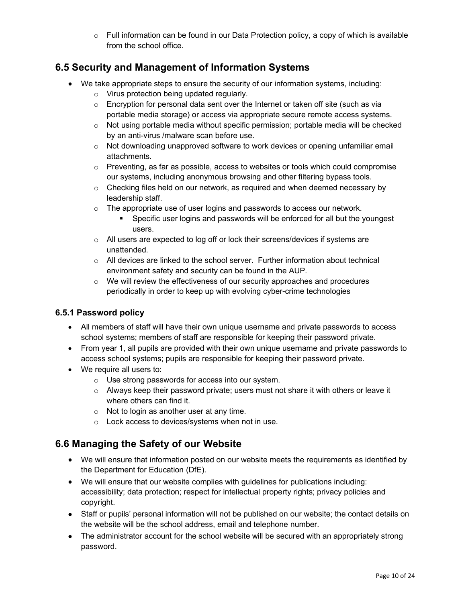$\circ$  Full information can be found in our Data Protection policy, a copy of which is available from the school office.

## 6.5 Security and Management of Information Systems

- We take appropriate steps to ensure the security of our information systems, including:
	- o Virus protection being updated regularly.
	- $\circ$  Encryption for personal data sent over the Internet or taken off site (such as via portable media storage) or access via appropriate secure remote access systems.
	- o Not using portable media without specific permission; portable media will be checked by an anti-virus /malware scan before use.
	- $\circ$  Not downloading unapproved software to work devices or opening unfamiliar email attachments.
	- $\circ$  Preventing, as far as possible, access to websites or tools which could compromise our systems, including anonymous browsing and other filtering bypass tools.
	- $\circ$  Checking files held on our network, as required and when deemed necessary by leadership staff.
	- $\circ$  The appropriate use of user logins and passwords to access our network.
		- Specific user logins and passwords will be enforced for all but the youngest users.
	- $\circ$  All users are expected to log off or lock their screens/devices if systems are unattended.
	- $\circ$  All devices are linked to the school server. Further information about technical environment safety and security can be found in the AUP.
	- $\circ$  We will review the effectiveness of our security approaches and procedures periodically in order to keep up with evolving cyber-crime technologies

#### 6.5.1 Password policy

- All members of staff will have their own unique username and private passwords to access school systems; members of staff are responsible for keeping their password private.
- From year 1, all pupils are provided with their own unique username and private passwords to access school systems; pupils are responsible for keeping their password private.
- We require all users to:
	- o Use strong passwords for access into our system.
	- $\circ$  Always keep their password private; users must not share it with others or leave it where others can find it.
	- $\circ$  Not to login as another user at any time.
	- o Lock access to devices/systems when not in use.

## 6.6 Managing the Safety of our Website

- We will ensure that information posted on our website meets the requirements as identified by the Department for Education (DfE).
- We will ensure that our website complies with guidelines for publications including: accessibility; data protection; respect for intellectual property rights; privacy policies and copyright.
- Staff or pupils' personal information will not be published on our website; the contact details on the website will be the school address, email and telephone number.
- The administrator account for the school website will be secured with an appropriately strong password.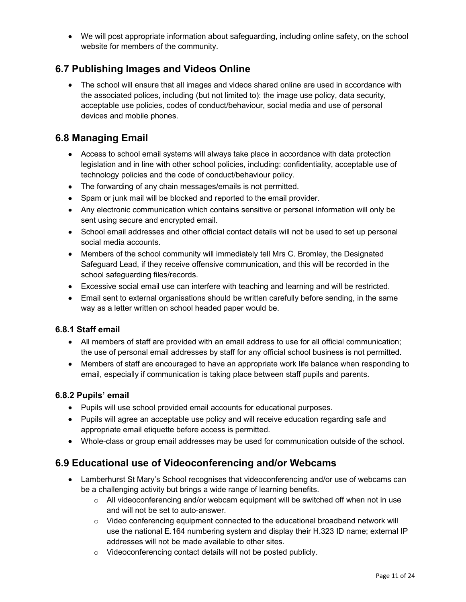We will post appropriate information about safeguarding, including online safety, on the school website for members of the community.

## 6.7 Publishing Images and Videos Online

• The school will ensure that all images and videos shared online are used in accordance with the associated polices, including (but not limited to): the image use policy, data security, acceptable use policies, codes of conduct/behaviour, social media and use of personal devices and mobile phones.

## 6.8 Managing Email

- Access to school email systems will always take place in accordance with data protection legislation and in line with other school policies, including: confidentiality, acceptable use of technology policies and the code of conduct/behaviour policy.
- The forwarding of any chain messages/emails is not permitted.
- Spam or junk mail will be blocked and reported to the email provider.
- Any electronic communication which contains sensitive or personal information will only be sent using secure and encrypted email.
- School email addresses and other official contact details will not be used to set up personal social media accounts.
- Members of the school community will immediately tell Mrs C. Bromley, the Designated Safeguard Lead, if they receive offensive communication, and this will be recorded in the school safeguarding files/records.
- Excessive social email use can interfere with teaching and learning and will be restricted.
- Email sent to external organisations should be written carefully before sending, in the same way as a letter written on school headed paper would be.

#### 6.8.1 Staff email

- All members of staff are provided with an email address to use for all official communication; the use of personal email addresses by staff for any official school business is not permitted.
- Members of staff are encouraged to have an appropriate work life balance when responding to email, especially if communication is taking place between staff pupils and parents.

#### 6.8.2 Pupils' email

- Pupils will use school provided email accounts for educational purposes.
- Pupils will agree an acceptable use policy and will receive education regarding safe and appropriate email etiquette before access is permitted.
- Whole-class or group email addresses may be used for communication outside of the school.

## 6.9 Educational use of Videoconferencing and/or Webcams

- Lamberhurst St Mary's School recognises that videoconferencing and/or use of webcams can be a challenging activity but brings a wide range of learning benefits.
	- $\circ$  All videoconferencing and/or webcam equipment will be switched off when not in use and will not be set to auto-answer.
	- $\circ$  Video conferencing equipment connected to the educational broadband network will use the national E.164 numbering system and display their H.323 ID name; external IP addresses will not be made available to other sites.
	- o Videoconferencing contact details will not be posted publicly.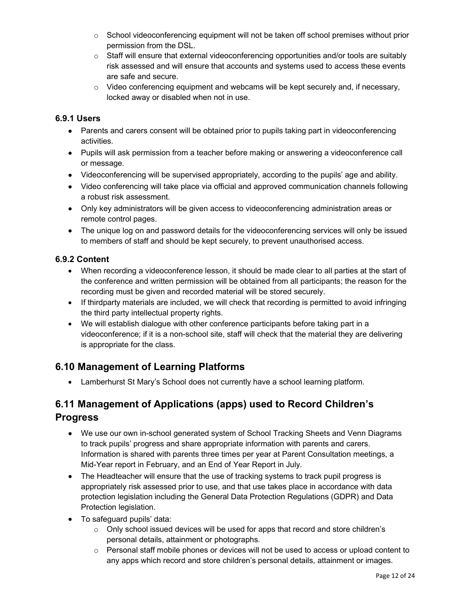- $\circ$  School videoconferencing equipment will not be taken off school premises without prior permission from the DSL.
- $\circ$  Staff will ensure that external videoconferencing opportunities and/or tools are suitably risk assessed and will ensure that accounts and systems used to access these events are safe and secure.
- $\circ$  Video conferencing equipment and webcams will be kept securely and, if necessary, locked away or disabled when not in use.

#### 6.9.1 Users

- Parents and carers consent will be obtained prior to pupils taking part in videoconferencing activities.
- Pupils will ask permission from a teacher before making or answering a videoconference call or message.
- Videoconferencing will be supervised appropriately, according to the pupils' age and ability.
- Video conferencing will take place via official and approved communication channels following a robust risk assessment.
- Only key administrators will be given access to videoconferencing administration areas or remote control pages.
- The unique log on and password details for the videoconferencing services will only be issued to members of staff and should be kept securely, to prevent unauthorised access.

#### 6.9.2 Content

- When recording a videoconference lesson, it should be made clear to all parties at the start of the conference and written permission will be obtained from all participants; the reason for the recording must be given and recorded material will be stored securely.
- If thirdparty materials are included, we will check that recording is permitted to avoid infringing the third party intellectual property rights.
- We will establish dialogue with other conference participants before taking part in a videoconference; if it is a non-school site, staff will check that the material they are delivering is appropriate for the class.

## 6.10 Management of Learning Platforms

Lamberhurst St Mary's School does not currently have a school learning platform.

## 6.11 Management of Applications (apps) used to Record Children's Progress

- We use our own in-school generated system of School Tracking Sheets and Venn Diagrams to track pupils' progress and share appropriate information with parents and carers. Information is shared with parents three times per year at Parent Consultation meetings, a Mid-Year report in February, and an End of Year Report in July.
- The Headteacher will ensure that the use of tracking systems to track pupil progress is appropriately risk assessed prior to use, and that use takes place in accordance with data protection legislation including the General Data Protection Regulations (GDPR) and Data Protection legislation.
- To safeguard pupils' data:
	- $\circ$  Only school issued devices will be used for apps that record and store children's personal details, attainment or photographs.
	- $\circ$  Personal staff mobile phones or devices will not be used to access or upload content to any apps which record and store children's personal details, attainment or images.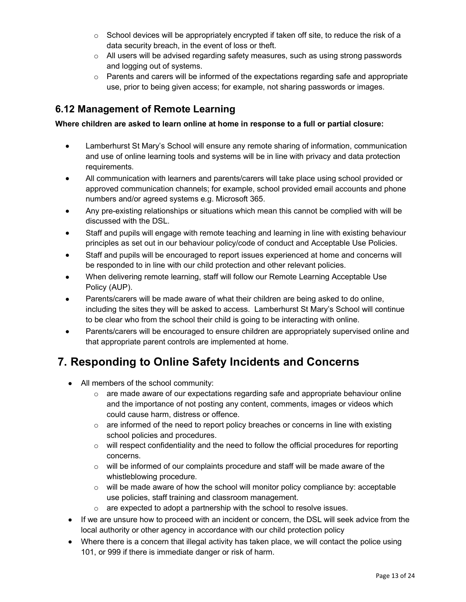- $\circ$  School devices will be appropriately encrypted if taken off site, to reduce the risk of a data security breach, in the event of loss or theft.
- $\circ$  All users will be advised regarding safety measures, such as using strong passwords and logging out of systems.
- $\circ$  Parents and carers will be informed of the expectations regarding safe and appropriate use, prior to being given access; for example, not sharing passwords or images.

## 6.12 Management of Remote Learning

#### Where children are asked to learn online at home in response to a full or partial closure:

- Lamberhurst St Mary's School will ensure any remote sharing of information, communication and use of online learning tools and systems will be in line with privacy and data protection requirements.
- All communication with learners and parents/carers will take place using school provided or approved communication channels; for example, school provided email accounts and phone numbers and/or agreed systems e.g. Microsoft 365.
- Any pre-existing relationships or situations which mean this cannot be complied with will be discussed with the DSL.
- Staff and pupils will engage with remote teaching and learning in line with existing behaviour principles as set out in our behaviour policy/code of conduct and Acceptable Use Policies.
- Staff and pupils will be encouraged to report issues experienced at home and concerns will be responded to in line with our child protection and other relevant policies.
- When delivering remote learning, staff will follow our Remote Learning Acceptable Use Policy (AUP).
- Parents/carers will be made aware of what their children are being asked to do online, including the sites they will be asked to access. Lamberhurst St Mary's School will continue to be clear who from the school their child is going to be interacting with online.
- Parents/carers will be encouraged to ensure children are appropriately supervised online and that appropriate parent controls are implemented at home.

## 7. Responding to Online Safety Incidents and Concerns

- All members of the school community:
	- $\circ$  are made aware of our expectations regarding safe and appropriate behaviour online and the importance of not posting any content, comments, images or videos which could cause harm, distress or offence.
	- $\circ$  are informed of the need to report policy breaches or concerns in line with existing school policies and procedures.
	- $\circ$  will respect confidentiality and the need to follow the official procedures for reporting concerns.
	- $\circ$  will be informed of our complaints procedure and staff will be made aware of the whistleblowing procedure.
	- $\circ$  will be made aware of how the school will monitor policy compliance by: acceptable use policies, staff training and classroom management.
	- o are expected to adopt a partnership with the school to resolve issues.
- If we are unsure how to proceed with an incident or concern, the DSL will seek advice from the local authority or other agency in accordance with our child protection policy
- Where there is a concern that illegal activity has taken place, we will contact the police using 101, or 999 if there is immediate danger or risk of harm.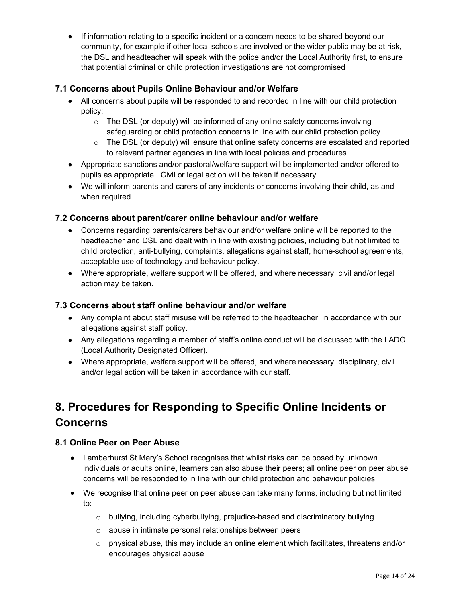• If information relating to a specific incident or a concern needs to be shared beyond our community, for example if other local schools are involved or the wider public may be at risk, the DSL and headteacher will speak with the police and/or the Local Authority first, to ensure that potential criminal or child protection investigations are not compromised

#### 7.1 Concerns about Pupils Online Behaviour and/or Welfare

- All concerns about pupils will be responded to and recorded in line with our child protection policy:
	- o The DSL (or deputy) will be informed of any online safety concerns involving safeguarding or child protection concerns in line with our child protection policy.
	- $\circ$  The DSL (or deputy) will ensure that online safety concerns are escalated and reported to relevant partner agencies in line with local policies and procedures.
- Appropriate sanctions and/or pastoral/welfare support will be implemented and/or offered to pupils as appropriate. Civil or legal action will be taken if necessary.
- We will inform parents and carers of any incidents or concerns involving their child, as and when required.

#### 7.2 Concerns about parent/carer online behaviour and/or welfare

- Concerns regarding parents/carers behaviour and/or welfare online will be reported to the headteacher and DSL and dealt with in line with existing policies, including but not limited to child protection, anti-bullying, complaints, allegations against staff, home-school agreements, acceptable use of technology and behaviour policy.
- Where appropriate, welfare support will be offered, and where necessary, civil and/or legal action may be taken.

#### 7.3 Concerns about staff online behaviour and/or welfare

- Any complaint about staff misuse will be referred to the headteacher, in accordance with our allegations against staff policy.
- Any allegations regarding a member of staff's online conduct will be discussed with the LADO (Local Authority Designated Officer).
- Where appropriate, welfare support will be offered, and where necessary, disciplinary, civil and/or legal action will be taken in accordance with our staff.

## 8. Procedures for Responding to Specific Online Incidents or Concerns

#### 8.1 Online Peer on Peer Abuse

- Lamberhurst St Mary's School recognises that whilst risks can be posed by unknown individuals or adults online, learners can also abuse their peers; all online peer on peer abuse concerns will be responded to in line with our child protection and behaviour policies.
- We recognise that online peer on peer abuse can take many forms, including but not limited to:
	- $\circ$  bullying, including cyberbullying, prejudice-based and discriminatory bullying
	- o abuse in intimate personal relationships between peers
	- $\circ$  physical abuse, this may include an online element which facilitates, threatens and/or encourages physical abuse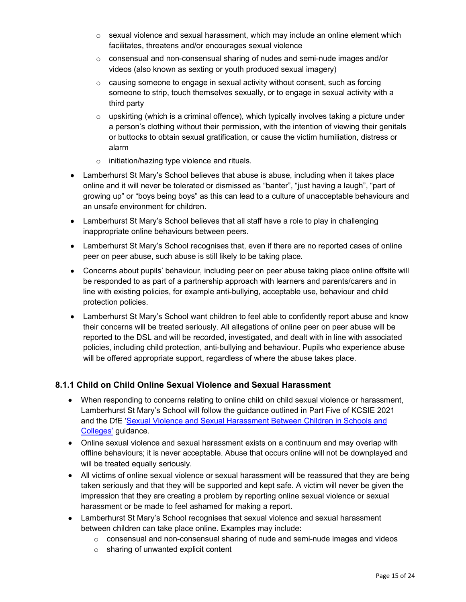- $\circ$  sexual violence and sexual harassment, which may include an online element which facilitates, threatens and/or encourages sexual violence
- $\circ$  consensual and non-consensual sharing of nudes and semi-nude images and/or videos (also known as sexting or youth produced sexual imagery)
- $\circ$  causing someone to engage in sexual activity without consent, such as forcing someone to strip, touch themselves sexually, or to engage in sexual activity with a third party
- $\circ$  upskirting (which is a criminal offence), which typically involves taking a picture under a person's clothing without their permission, with the intention of viewing their genitals or buttocks to obtain sexual gratification, or cause the victim humiliation, distress or alarm
- o initiation/hazing type violence and rituals.
- Lamberhurst St Mary's School believes that abuse is abuse, including when it takes place online and it will never be tolerated or dismissed as "banter", "just having a laugh", "part of growing up" or "boys being boys" as this can lead to a culture of unacceptable behaviours and an unsafe environment for children.
- Lamberhurst St Mary's School believes that all staff have a role to play in challenging inappropriate online behaviours between peers.
- Lamberhurst St Mary's School recognises that, even if there are no reported cases of online peer on peer abuse, such abuse is still likely to be taking place.
- Concerns about pupils' behaviour, including peer on peer abuse taking place online offsite will be responded to as part of a partnership approach with learners and parents/carers and in line with existing policies, for example anti-bullying, acceptable use, behaviour and child protection policies.
- Lamberhurst St Mary's School want children to feel able to confidently report abuse and know their concerns will be treated seriously. All allegations of online peer on peer abuse will be reported to the DSL and will be recorded, investigated, and dealt with in line with associated policies, including child protection, anti-bullying and behaviour. Pupils who experience abuse will be offered appropriate support, regardless of where the abuse takes place.

#### 8.1.1 Child on Child Online Sexual Violence and Sexual Harassment

- When responding to concerns relating to online child on child sexual violence or harassment, Lamberhurst St Mary's School will follow the guidance outlined in Part Five of KCSIE 2021 and the DfE 'Sexual Violence and Sexual Harassment Between Children in Schools and Colleges' guidance.
- Online sexual violence and sexual harassment exists on a continuum and may overlap with offline behaviours; it is never acceptable. Abuse that occurs online will not be downplayed and will be treated equally seriously.
- All victims of online sexual violence or sexual harassment will be reassured that they are being taken seriously and that they will be supported and kept safe. A victim will never be given the impression that they are creating a problem by reporting online sexual violence or sexual harassment or be made to feel ashamed for making a report.
- Lamberhurst St Mary's School recognises that sexual violence and sexual harassment between children can take place online. Examples may include:
	- o consensual and non-consensual sharing of nude and semi-nude images and videos
	- o sharing of unwanted explicit content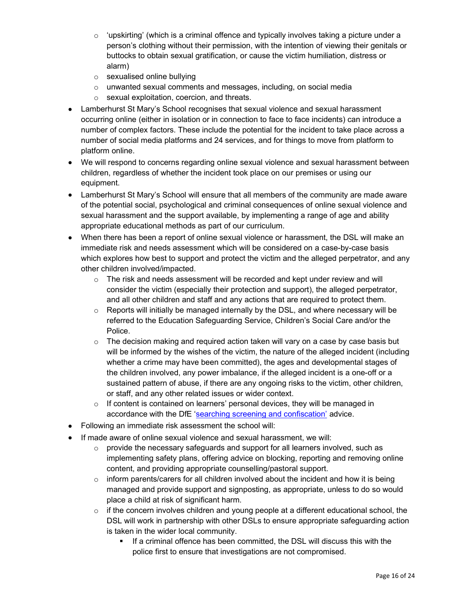- $\circ$  'upskirting' (which is a criminal offence and typically involves taking a picture under a person's clothing without their permission, with the intention of viewing their genitals or buttocks to obtain sexual gratification, or cause the victim humiliation, distress or alarm)
- o sexualised online bullying
- o unwanted sexual comments and messages, including, on social media
- o sexual exploitation, coercion, and threats.
- Lamberhurst St Mary's School recognises that sexual violence and sexual harassment occurring online (either in isolation or in connection to face to face incidents) can introduce a number of complex factors. These include the potential for the incident to take place across a number of social media platforms and 24 services, and for things to move from platform to platform online.
- We will respond to concerns regarding online sexual violence and sexual harassment between children, regardless of whether the incident took place on our premises or using our equipment.
- Lamberhurst St Mary's School will ensure that all members of the community are made aware of the potential social, psychological and criminal consequences of online sexual violence and sexual harassment and the support available, by implementing a range of age and ability appropriate educational methods as part of our curriculum.
- When there has been a report of online sexual violence or harassment, the DSL will make an immediate risk and needs assessment which will be considered on a case-by-case basis which explores how best to support and protect the victim and the alleged perpetrator, and any other children involved/impacted.
	- $\circ$  The risk and needs assessment will be recorded and kept under review and will consider the victim (especially their protection and support), the alleged perpetrator, and all other children and staff and any actions that are required to protect them.
	- $\circ$  Reports will initially be managed internally by the DSL, and where necessary will be referred to the Education Safeguarding Service, Children's Social Care and/or the Police.
	- $\circ$  The decision making and required action taken will vary on a case by case basis but will be informed by the wishes of the victim, the nature of the alleged incident (including whether a crime may have been committed), the ages and developmental stages of the children involved, any power imbalance, if the alleged incident is a one-off or a sustained pattern of abuse, if there are any ongoing risks to the victim, other children, or staff, and any other related issues or wider context.
	- $\circ$  If content is contained on learners' personal devices, they will be managed in accordance with the DfE 'searching screening and confiscation' advice.
- Following an immediate risk assessment the school will:
- $\bullet$  If made aware of online sexual violence and sexual harassment, we will:
	- $\circ$  provide the necessary safeguards and support for all learners involved, such as implementing safety plans, offering advice on blocking, reporting and removing online content, and providing appropriate counselling/pastoral support.
	- $\circ$  inform parents/carers for all children involved about the incident and how it is being managed and provide support and signposting, as appropriate, unless to do so would place a child at risk of significant harm.
	- o if the concern involves children and young people at a different educational school, the DSL will work in partnership with other DSLs to ensure appropriate safeguarding action is taken in the wider local community.
		- **If a criminal offence has been committed, the DSL will discuss this with the** police first to ensure that investigations are not compromised.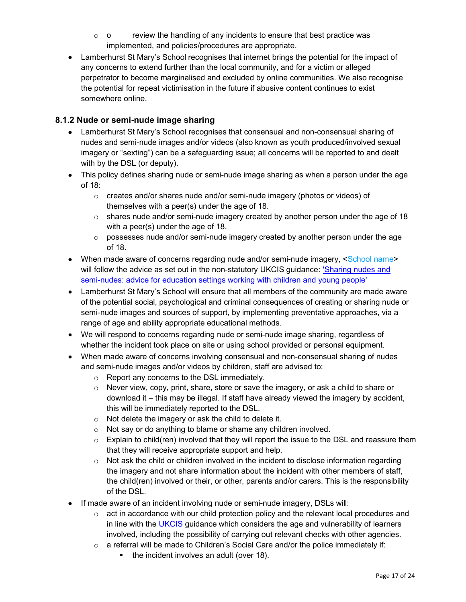- $\circ$  o review the handling of any incidents to ensure that best practice was implemented, and policies/procedures are appropriate.
- Lamberhurst St Mary's School recognises that internet brings the potential for the impact of any concerns to extend further than the local community, and for a victim or alleged perpetrator to become marginalised and excluded by online communities. We also recognise the potential for repeat victimisation in the future if abusive content continues to exist somewhere online.

#### 8.1.2 Nude or semi-nude image sharing

- Lamberhurst St Mary's School recognises that consensual and non-consensual sharing of nudes and semi-nude images and/or videos (also known as youth produced/involved sexual imagery or "sexting") can be a safeguarding issue; all concerns will be reported to and dealt with by the DSL (or deputy).
- This policy defines sharing nude or semi-nude image sharing as when a person under the age of 18:
	- $\circ$  creates and/or shares nude and/or semi-nude imagery (photos or videos) of themselves with a peer(s) under the age of 18.
	- $\circ$  shares nude and/or semi-nude imagery created by another person under the age of 18 with a peer(s) under the age of 18.
	- $\circ$  possesses nude and/or semi-nude imagery created by another person under the age of 18.
- When made aware of concerns regarding nude and/or semi-nude imagery, <School name> will follow the advice as set out in the non-statutory UKCIS guidance: 'Sharing nudes and semi-nudes: advice for education settings working with children and young people'
- Lamberhurst St Mary's School will ensure that all members of the community are made aware of the potential social, psychological and criminal consequences of creating or sharing nude or semi-nude images and sources of support, by implementing preventative approaches, via a range of age and ability appropriate educational methods.
- We will respond to concerns regarding nude or semi-nude image sharing, regardless of whether the incident took place on site or using school provided or personal equipment.
- When made aware of concerns involving consensual and non-consensual sharing of nudes and semi-nude images and/or videos by children, staff are advised to:
	- o Report any concerns to the DSL immediately.
	- $\circ$  Never view, copy, print, share, store or save the imagery, or ask a child to share or download it – this may be illegal. If staff have already viewed the imagery by accident, this will be immediately reported to the DSL.
	- o Not delete the imagery or ask the child to delete it.
	- o Not say or do anything to blame or shame any children involved.
	- $\circ$  Explain to child(ren) involved that they will report the issue to the DSL and reassure them that they will receive appropriate support and help.
	- $\circ$  Not ask the child or children involved in the incident to disclose information regarding the imagery and not share information about the incident with other members of staff, the child(ren) involved or their, or other, parents and/or carers. This is the responsibility of the DSL.
- If made aware of an incident involving nude or semi-nude imagery, DSLs will:
	- $\circ$  act in accordance with our child protection policy and the relevant local procedures and in line with the UKCIS guidance which considers the age and vulnerability of learners involved, including the possibility of carrying out relevant checks with other agencies.
	- $\circ$  a referral will be made to Children's Social Care and/or the police immediately if:
		- $\blacksquare$  the incident involves an adult (over 18).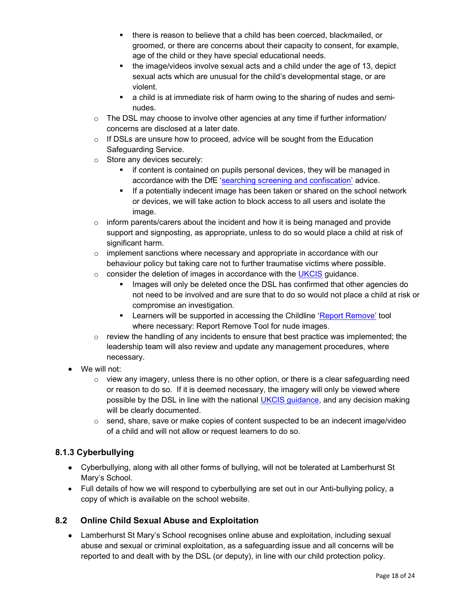- there is reason to believe that a child has been coerced, blackmailed, or groomed, or there are concerns about their capacity to consent, for example, age of the child or they have special educational needs.
- the image/videos involve sexual acts and a child under the age of 13, depict sexual acts which are unusual for the child's developmental stage, or are violent.
- a child is at immediate risk of harm owing to the sharing of nudes and seminudes.
- $\circ$  The DSL may choose to involve other agencies at any time if further information/ concerns are disclosed at a later date.
- $\circ$  If DSLs are unsure how to proceed, advice will be sought from the Education Safeguarding Service.
- o Store any devices securely:
	- **F** if content is contained on pupils personal devices, they will be managed in accordance with the DfE 'searching screening and confiscation' advice.
	- **If a potentially indecent image has been taken or shared on the school network** or devices, we will take action to block access to all users and isolate the image.
- $\circ$  inform parents/carers about the incident and how it is being managed and provide support and signposting, as appropriate, unless to do so would place a child at risk of significant harm.
- $\circ$  implement sanctions where necessary and appropriate in accordance with our behaviour policy but taking care not to further traumatise victims where possible.
- $\circ$  consider the deletion of images in accordance with the UKCIS guidance.
	- **IMAGE 19** Images will only be deleted once the DSL has confirmed that other agencies do not need to be involved and are sure that to do so would not place a child at risk or compromise an investigation.
	- **EXECT** Learners will be supported in accessing the Childline 'Report Remove' tool where necessary: Report Remove Tool for nude images.
- $\circ$  review the handling of any incidents to ensure that best practice was implemented; the leadership team will also review and update any management procedures, where necessary.
- We will not:
	- $\circ$  view any imagery, unless there is no other option, or there is a clear safeguarding need or reason to do so. If it is deemed necessary, the imagery will only be viewed where possible by the DSL in line with the national UKCIS guidance, and any decision making will be clearly documented.
	- $\circ$  send, share, save or make copies of content suspected to be an indecent image/video of a child and will not allow or request learners to do so.

#### 8.1.3 Cyberbullying

- Cyberbullying, along with all other forms of bullying, will not be tolerated at Lamberhurst St Mary's School.
- Full details of how we will respond to cyberbullying are set out in our Anti-bullying policy, a copy of which is available on the school website.

#### 8.2 Online Child Sexual Abuse and Exploitation

 Lamberhurst St Mary's School recognises online abuse and exploitation, including sexual abuse and sexual or criminal exploitation, as a safeguarding issue and all concerns will be reported to and dealt with by the DSL (or deputy), in line with our child protection policy.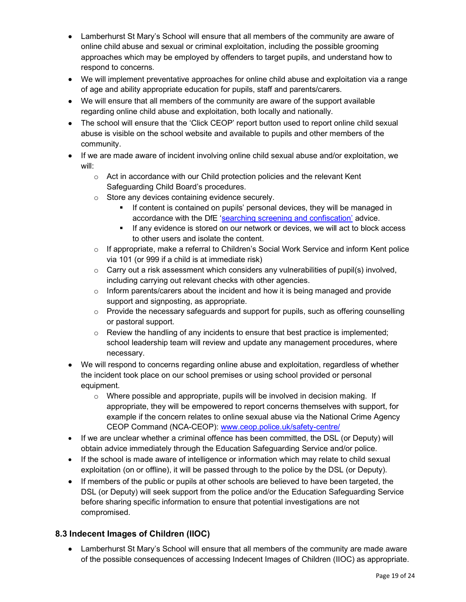- Lamberhurst St Mary's School will ensure that all members of the community are aware of online child abuse and sexual or criminal exploitation, including the possible grooming approaches which may be employed by offenders to target pupils, and understand how to respond to concerns.
- We will implement preventative approaches for online child abuse and exploitation via a range of age and ability appropriate education for pupils, staff and parents/carers.
- We will ensure that all members of the community are aware of the support available regarding online child abuse and exploitation, both locally and nationally.
- The school will ensure that the 'Click CEOP' report button used to report online child sexual abuse is visible on the school website and available to pupils and other members of the community.
- If we are made aware of incident involving online child sexual abuse and/or exploitation, we will:
	- $\circ$  Act in accordance with our Child protection policies and the relevant Kent Safeguarding Child Board's procedures.
	- o Store any devices containing evidence securely.
		- If content is contained on pupils' personal devices, they will be managed in accordance with the DfE 'searching screening and confiscation' advice.
		- If any evidence is stored on our network or devices, we will act to block access to other users and isolate the content.
	- $\circ$  If appropriate, make a referral to Children's Social Work Service and inform Kent police via 101 (or 999 if a child is at immediate risk)
	- $\circ$  Carry out a risk assessment which considers any vulnerabilities of pupil(s) involved, including carrying out relevant checks with other agencies.
	- $\circ$  Inform parents/carers about the incident and how it is being managed and provide support and signposting, as appropriate.
	- $\circ$  Provide the necessary safeguards and support for pupils, such as offering counselling or pastoral support.
	- $\circ$  Review the handling of any incidents to ensure that best practice is implemented; school leadership team will review and update any management procedures, where necessary.
- We will respond to concerns regarding online abuse and exploitation, regardless of whether the incident took place on our school premises or using school provided or personal equipment.
	- $\circ$  Where possible and appropriate, pupils will be involved in decision making. If appropriate, they will be empowered to report concerns themselves with support, for example if the concern relates to online sexual abuse via the National Crime Agency CEOP Command (NCA-CEOP): www.ceop.police.uk/safety-centre/
- If we are unclear whether a criminal offence has been committed, the DSL (or Deputy) will obtain advice immediately through the Education Safeguarding Service and/or police.
- If the school is made aware of intelligence or information which may relate to child sexual exploitation (on or offline), it will be passed through to the police by the DSL (or Deputy).
- If members of the public or pupils at other schools are believed to have been targeted, the DSL (or Deputy) will seek support from the police and/or the Education Safeguarding Service before sharing specific information to ensure that potential investigations are not compromised.

#### 8.3 Indecent Images of Children (IIOC)

 Lamberhurst St Mary's School will ensure that all members of the community are made aware of the possible consequences of accessing Indecent Images of Children (IIOC) as appropriate.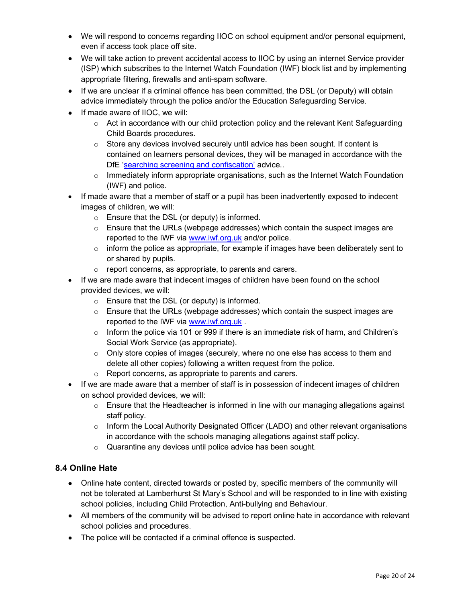- We will respond to concerns regarding IIOC on school equipment and/or personal equipment, even if access took place off site.
- We will take action to prevent accidental access to IIOC by using an internet Service provider (ISP) which subscribes to the Internet Watch Foundation (IWF) block list and by implementing appropriate filtering, firewalls and anti-spam software.
- If we are unclear if a criminal offence has been committed, the DSL (or Deputy) will obtain advice immediately through the police and/or the Education Safeguarding Service.
- If made aware of IIOC, we will:
	- $\circ$  Act in accordance with our child protection policy and the relevant Kent Safeguarding Child Boards procedures.
	- $\circ$  Store any devices involved securely until advice has been sought. If content is contained on learners personal devices, they will be managed in accordance with the DfE 'searching screening and confiscation' advice..
	- o Immediately inform appropriate organisations, such as the Internet Watch Foundation (IWF) and police.
- If made aware that a member of staff or a pupil has been inadvertently exposed to indecent images of children, we will:
	- o Ensure that the DSL (or deputy) is informed.
	- $\circ$  Ensure that the URLs (webpage addresses) which contain the suspect images are reported to the IWF via www.iwf.org.uk and/or police.
	- $\circ$  inform the police as appropriate, for example if images have been deliberately sent to or shared by pupils.
	- o report concerns, as appropriate, to parents and carers.
- If we are made aware that indecent images of children have been found on the school provided devices, we will:
	- o Ensure that the DSL (or deputy) is informed.
	- $\circ$  Ensure that the URLs (webpage addresses) which contain the suspect images are reported to the IWF via www.iwf.org.uk.
	- $\circ$  Inform the police via 101 or 999 if there is an immediate risk of harm, and Children's Social Work Service (as appropriate).
	- $\circ$  Only store copies of images (securely, where no one else has access to them and delete all other copies) following a written request from the police.
	- o Report concerns, as appropriate to parents and carers.
- If we are made aware that a member of staff is in possession of indecent images of children on school provided devices, we will:
	- $\circ$  Ensure that the Headteacher is informed in line with our managing allegations against staff policy.
	- o Inform the Local Authority Designated Officer (LADO) and other relevant organisations in accordance with the schools managing allegations against staff policy.
	- o Quarantine any devices until police advice has been sought.

#### 8.4 Online Hate

- Online hate content, directed towards or posted by, specific members of the community will not be tolerated at Lamberhurst St Mary's School and will be responded to in line with existing school policies, including Child Protection, Anti-bullying and Behaviour.
- All members of the community will be advised to report online hate in accordance with relevant school policies and procedures.
- The police will be contacted if a criminal offence is suspected.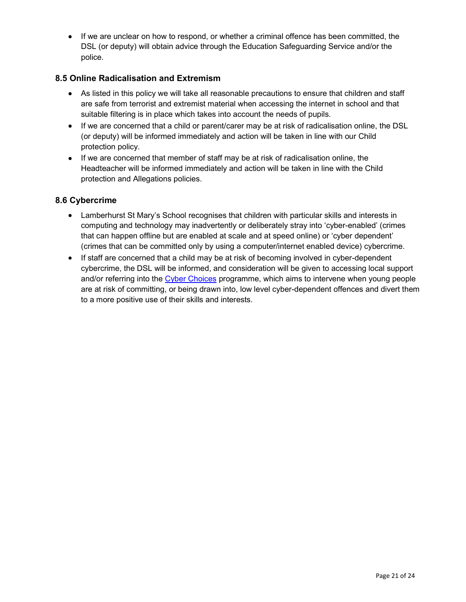If we are unclear on how to respond, or whether a criminal offence has been committed, the DSL (or deputy) will obtain advice through the Education Safeguarding Service and/or the police.

#### 8.5 Online Radicalisation and Extremism

- As listed in this policy we will take all reasonable precautions to ensure that children and staff are safe from terrorist and extremist material when accessing the internet in school and that suitable filtering is in place which takes into account the needs of pupils.
- If we are concerned that a child or parent/carer may be at risk of radicalisation online, the DSL (or deputy) will be informed immediately and action will be taken in line with our Child protection policy.
- If we are concerned that member of staff may be at risk of radicalisation online, the Headteacher will be informed immediately and action will be taken in line with the Child protection and Allegations policies.

#### 8.6 Cybercrime

- Lamberhurst St Mary's School recognises that children with particular skills and interests in computing and technology may inadvertently or deliberately stray into 'cyber-enabled' (crimes that can happen offline but are enabled at scale and at speed online) or 'cyber dependent' (crimes that can be committed only by using a computer/internet enabled device) cybercrime.
- If staff are concerned that a child may be at risk of becoming involved in cyber-dependent cybercrime, the DSL will be informed, and consideration will be given to accessing local support and/or referring into the Cyber Choices programme, which aims to intervene when young people are at risk of committing, or being drawn into, low level cyber-dependent offences and divert them to a more positive use of their skills and interests.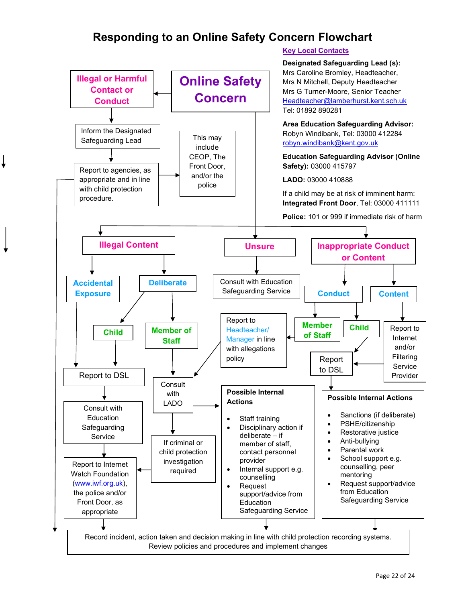## Responding to an Online Safety Concern Flowchart

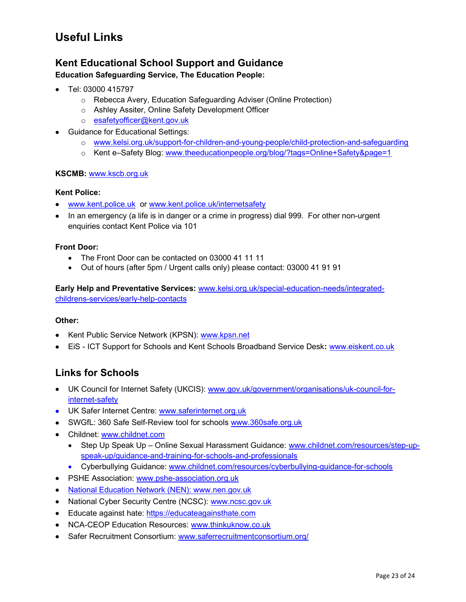## Useful Links

### Kent Educational School Support and Guidance

#### Education Safeguarding Service, The Education People:

- $\bullet$  Tel: 03000 415797
	- o Rebecca Avery, Education Safeguarding Adviser (Online Protection)
	- o Ashley Assiter, Online Safety Development Officer
	- o esafetyofficer@kent.gov.uk
- Guidance for Educational Settings:
	- o www.kelsi.org.uk/support-for-children-and-young-people/child-protection-and-safeguarding
	- o Kent e–Safety Blog: www.theeducationpeople.org/blog/?tags=Online+Safety&page=1

#### KSCMB: www.kscb.org.uk

#### Kent Police:

- www.kent.police.uk or www.kent.police.uk/internetsafety
- In an emergency (a life is in danger or a crime in progress) dial 999. For other non-urgent enquiries contact Kent Police via 101

#### Front Door:

- The Front Door can be contacted on 03000 41 11 11
- Out of hours (after 5pm / Urgent calls only) please contact: 03000 41 91 91

Early Help and Preventative Services: www.kelsi.org.uk/special-education-needs/integratedchildrens-services/early-help-contacts

#### Other:

- Kent Public Service Network (KPSN): www.kpsn.net
- EiS ICT Support for Schools and Kent Schools Broadband Service Desk: www.eiskent.co.uk

## Links for Schools

- UK Council for Internet Safety (UKCIS): www.gov.uk/government/organisations/uk-council-forinternet-safety
- UK Safer Internet Centre: www.saferinternet.org.uk
- SWGfL: 360 Safe Self-Review tool for schools www.360safe.org.uk
- Childnet: www.childnet.com
	- Step Up Speak Up Online Sexual Harassment Guidance: www.childnet.com/resources/step-upspeak-up/guidance-and-training-for-schools-and-professionals
	- Cyberbullying Guidance: www.childnet.com/resources/cyberbullying-guidance-for-schools
- PSHE Association: www.pshe-association.org.uk
- National Education Network (NEN): www.nen.gov.uk
- National Cyber Security Centre (NCSC): www.ncsc.gov.uk
- **Educate against hate: https://educateagainsthate.com**
- NCA-CEOP Education Resources: www.thinkuknow.co.uk
- Safer Recruitment Consortium: www.saferrecruitmentconsortium.org/